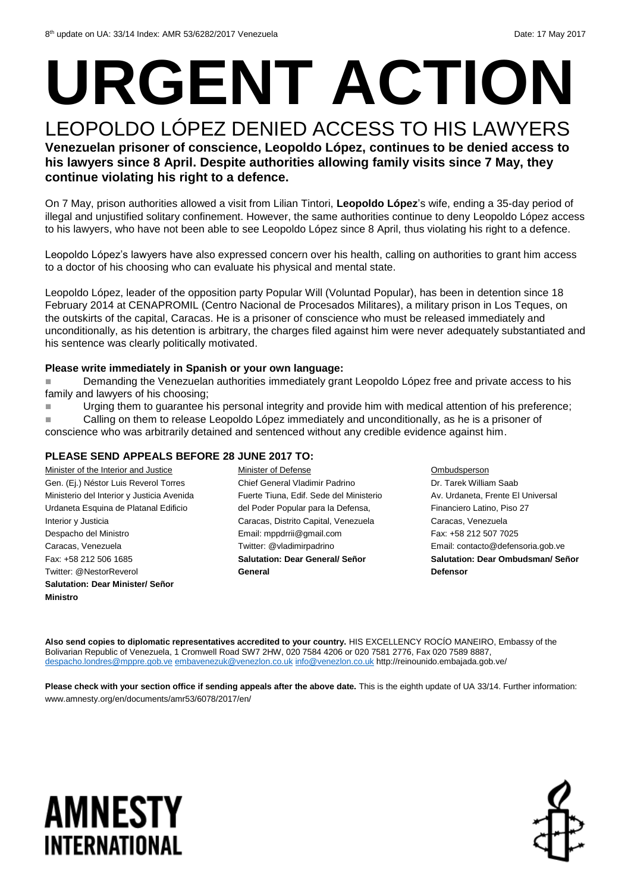## **URGENT ACTION** LEOPOLDO LÓPEZ DENIED ACCESS TO HIS LAWYERS

**Venezuelan prisoner of conscience, Leopoldo López, continues to be denied access to his lawyers since 8 April. Despite authorities allowing family visits since 7 May, they continue violating his right to a defence.** 

On 7 May, prison authorities allowed a visit from Lilian Tintori, **Leopoldo López**'s wife, ending a 35-day period of illegal and unjustified solitary confinement. However, the same authorities continue to deny Leopoldo López access to his lawyers, who have not been able to see Leopoldo López since 8 April, thus violating his right to a defence.

Leopoldo López's lawyers have also expressed concern over his health, calling on authorities to grant him access to a doctor of his choosing who can evaluate his physical and mental state.

Leopoldo López, leader of the opposition party Popular Will (Voluntad Popular), has been in detention since 18 February 2014 at CENAPROMIL (Centro Nacional de Procesados Militares), a military prison in Los Teques, on the outskirts of the capital, Caracas. He is a prisoner of conscience who must be released immediately and unconditionally, as his detention is arbitrary, the charges filed against him were never adequately substantiated and his sentence was clearly politically motivated.

#### **Please write immediately in Spanish or your own language:**

 Demanding the Venezuelan authorities immediately grant Leopoldo López free and private access to his family and lawyers of his choosing;

■ Urging them to guarantee his personal integrity and provide him with medical attention of his preference;

 Calling on them to release Leopoldo López immediately and unconditionally, as he is a prisoner of conscience who was arbitrarily detained and sentenced without any credible evidence against him.

#### **PLEASE SEND APPEALS BEFORE 28 JUNE 2017 TO:**

Minister of the Interior and Justice Gen. (Ej.) Néstor Luis Reverol Torres Ministerio del Interior y Justicia Avenida Urdaneta Esquina de Platanal Edificio Interior y Justicia Despacho del Ministro Caracas, Venezuela Fax: +58 212 506 1685 Twitter: @NestorReverol **Salutation: Dear Minister/ Señor Ministro** Minister of Defense Chief General Vladimir Padrino Fuerte Tiuna, Edif. Sede del Ministerio del Poder Popular para la Defensa, Caracas, Distrito Capital, Venezuela Email: mppdrrii@gmail.com Twitter: @vladimirpadrino **Salutation: Dear General/ Señor General** Ombudsperson Dr. Tarek William Saab Av. Urdaneta, Frente El Universal Financiero Latino, Piso 27 Caracas, Venezuela Fax: +58 212 507 7025 Email: contacto@defensoria.gob.ve **Salutation: Dear Ombudsman/ Señor Defensor**

**Also send copies to diplomatic representatives accredited to your country.** HIS EXCELLENCY ROCÍO MANEIRO, Embassy of the Bolivarian Republic of Venezuela, 1 Cromwell Road SW7 2HW, 020 7584 4206 or 020 7581 2776, Fax 020 7589 8887, [despacho.londres@mppre.gob.ve](mailto:despacho.londres@mppre.gob.ve) [embavenezuk@venezlon.co.uk](mailto:embavenezuk@venezlon.co.uk) [info@venezlon.co.uk](mailto:info@venezlon.co.uk) http://reinounido.embajada.gob.ve/

**Please check with your section office if sending appeals after the above date.** This is the eighth update of UA 33/14. Further information: www.amnesty.org/en/documents/amr53/6078/2017/en/

### **AMNESTY** INTERNATIONAL